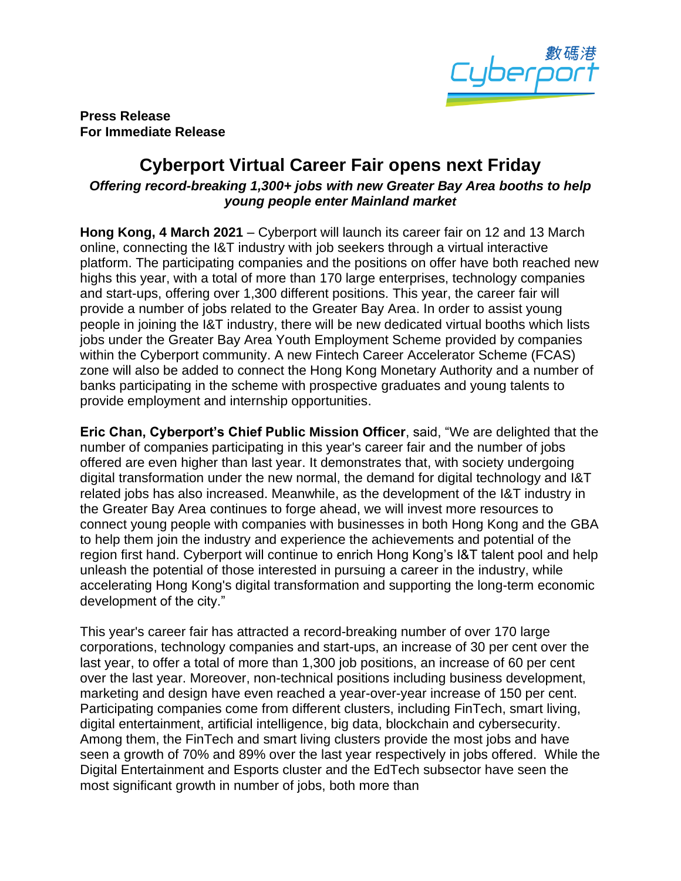

**Press Release For Immediate Release** 

## **Cyberport Virtual Career Fair opens next Friday**

## *Offering record-breaking 1,300+ jobs with new Greater Bay Area booths to help young people enter Mainland market*

**Hong Kong, 4 March 2021** – Cyberport will launch its career fair on 12 and 13 March online, connecting the I&T industry with job seekers through a virtual interactive platform. The participating companies and the positions on offer have both reached new highs this year, with a total of more than 170 large enterprises, technology companies and start-ups, offering over 1,300 different positions. This year, the career fair will provide a number of jobs related to the Greater Bay Area. In order to assist young people in joining the I&T industry, there will be new dedicated virtual booths which lists jobs under the Greater Bay Area Youth Employment Scheme provided by companies within the Cyberport community. A new Fintech Career Accelerator Scheme (FCAS) zone will also be added to connect the Hong Kong Monetary Authority and a number of banks participating in the scheme with prospective graduates and young talents to provide employment and internship opportunities.

**Eric Chan, Cyberport's Chief Public Mission Officer**, said, "We are delighted that the number of companies participating in this year's career fair and the number of jobs offered are even higher than last year. It demonstrates that, with society undergoing digital transformation under the new normal, the demand for digital technology and I&T related jobs has also increased. Meanwhile, as the development of the I&T industry in the Greater Bay Area continues to forge ahead, we will invest more resources to connect young people with companies with businesses in both Hong Kong and the GBA to help them join the industry and experience the achievements and potential of the region first hand. Cyberport will continue to enrich Hong Kong's I&T talent pool and help unleash the potential of those interested in pursuing a career in the industry, while accelerating Hong Kong's digital transformation and supporting the long-term economic development of the city."

This year's career fair has attracted a record-breaking number of over 170 large corporations, technology companies and start-ups, an increase of 30 per cent over the last year, to offer a total of more than 1,300 job positions, an increase of 60 per cent over the last year. Moreover, non-technical positions including business development, marketing and design have even reached a year-over-year increase of 150 per cent. Participating companies come from different clusters, including FinTech, smart living, digital entertainment, artificial intelligence, big data, blockchain and cybersecurity. Among them, the FinTech and smart living clusters provide the most jobs and have seen a growth of 70% and 89% over the last year respectively in jobs offered. While the Digital Entertainment and Esports cluster and the EdTech subsector have seen the most significant growth in number of jobs, both more than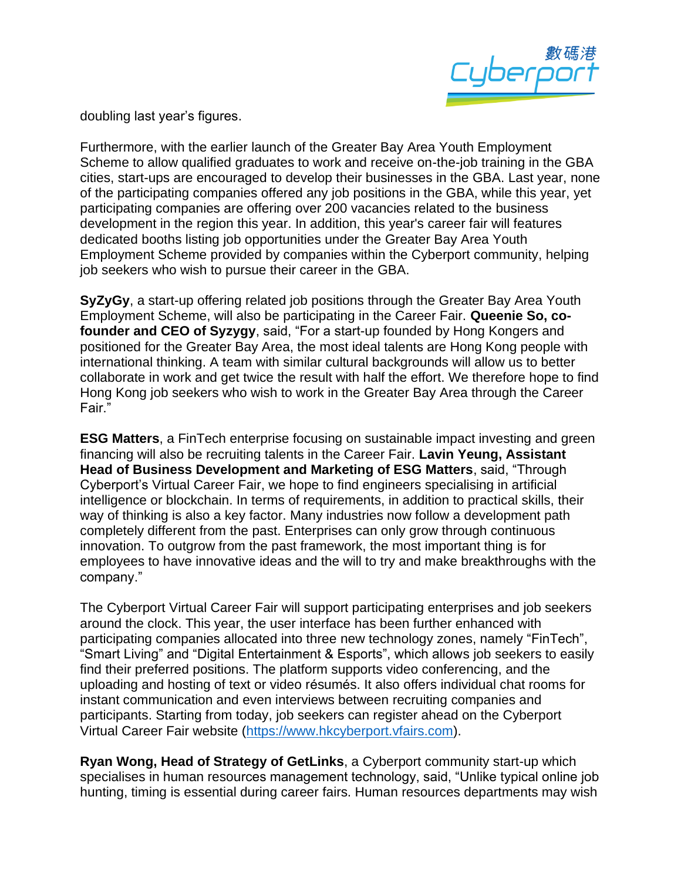

doubling last year's figures.

Furthermore, with the earlier launch of the Greater Bay Area Youth Employment Scheme to allow qualified graduates to work and receive on-the-job training in the GBA cities, start-ups are encouraged to develop their businesses in the GBA. Last year, none of the participating companies offered any job positions in the GBA, while this year, yet participating companies are offering over 200 vacancies related to the business development in the region this year. In addition, this year's career fair will features dedicated booths listing job opportunities under the Greater Bay Area Youth Employment Scheme provided by companies within the Cyberport community, helping job seekers who wish to pursue their career in the GBA.

**SyZyGy**, a start-up offering related job positions through the Greater Bay Area Youth Employment Scheme, will also be participating in the Career Fair. **Queenie So, cofounder and CEO of Syzygy**, said, "For a start-up founded by Hong Kongers and positioned for the Greater Bay Area, the most ideal talents are Hong Kong people with international thinking. A team with similar cultural backgrounds will allow us to better collaborate in work and get twice the result with half the effort. We therefore hope to find Hong Kong job seekers who wish to work in the Greater Bay Area through the Career Fair."

**ESG Matters**, a FinTech enterprise focusing on sustainable impact investing and green financing will also be recruiting talents in the Career Fair. **Lavin Yeung, Assistant Head of Business Development and Marketing of ESG Matters**, said, "Through Cyberport's Virtual Career Fair, we hope to find engineers specialising in artificial intelligence or blockchain. In terms of requirements, in addition to practical skills, their way of thinking is also a key factor. Many industries now follow a development path completely different from the past. Enterprises can only grow through continuous innovation. To outgrow from the past framework, the most important thing is for employees to have innovative ideas and the will to try and make breakthroughs with the company."

The Cyberport Virtual Career Fair will support participating enterprises and job seekers around the clock. This year, the user interface has been further enhanced with participating companies allocated into three new technology zones, namely "FinTech", "Smart Living" and "Digital Entertainment & Esports", which allows job seekers to easily find their preferred positions. The platform supports video conferencing, and the uploading and hosting of text or video résumés. It also offers individual chat rooms for instant communication and even interviews between recruiting companies and participants. Starting from today, job seekers can register ahead on the Cyberport Virtual Career Fair website [\(https://www.hkcyberport.vfairs.com\)](https://hkcyberport.vfairs.com/).

**Ryan Wong, Head of Strategy of GetLinks**, a Cyberport community start-up which specialises in human resources management technology, said, "Unlike typical online job hunting, timing is essential during career fairs. Human resources departments may wish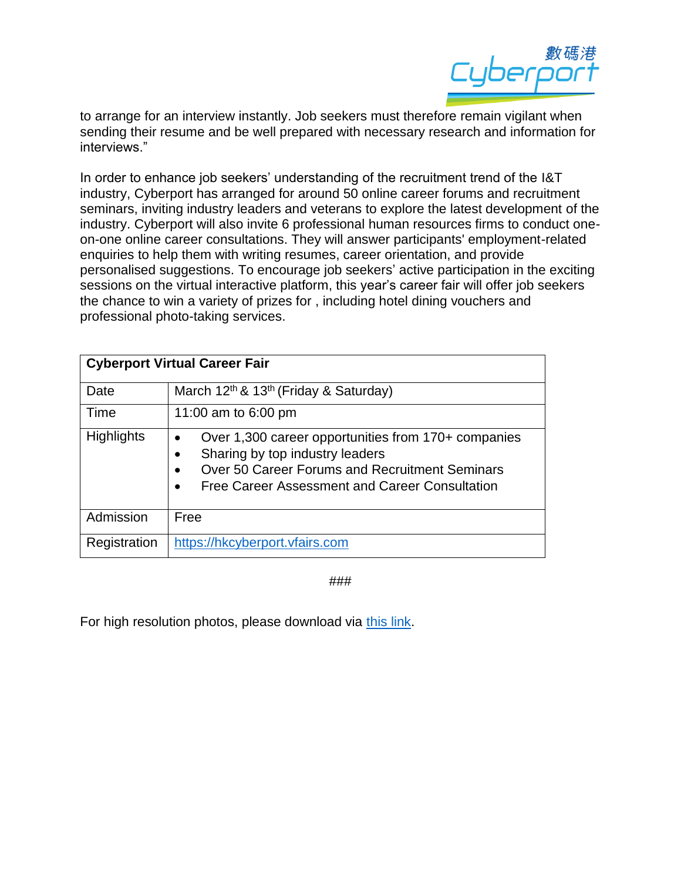

to arrange for an interview instantly. Job seekers must therefore remain vigilant when sending their resume and be well prepared with necessary research and information for interviews."

In order to enhance job seekers' understanding of the recruitment trend of the I&T industry, Cyberport has arranged for around 50 online career forums and recruitment seminars, inviting industry leaders and veterans to explore the latest development of the industry. Cyberport will also invite 6 professional human resources firms to conduct oneon-one online career consultations. They will answer participants' employment-related enquiries to help them with writing resumes, career orientation, and provide personalised suggestions. To encourage job seekers' active participation in the exciting sessions on the virtual interactive platform, this year's career fair will offer job seekers the chance to win a variety of prizes for , including hotel dining vouchers and professional photo-taking services.

| <b>Cyberport Virtual Career Fair</b> |                                                                                                                                                                                                                                                |
|--------------------------------------|------------------------------------------------------------------------------------------------------------------------------------------------------------------------------------------------------------------------------------------------|
| Date                                 | March 12 <sup>th</sup> & 13 <sup>th</sup> (Friday & Saturday)                                                                                                                                                                                  |
| Time                                 | 11:00 am to 6:00 pm                                                                                                                                                                                                                            |
| <b>Highlights</b>                    | Over 1,300 career opportunities from 170+ companies<br>$\bullet$<br>Sharing by top industry leaders<br>$\bullet$<br>Over 50 Career Forums and Recruitment Seminars<br>$\bullet$<br>Free Career Assessment and Career Consultation<br>$\bullet$ |
| Admission                            | Free                                                                                                                                                                                                                                           |
| Registration                         | https://hkcyberport.vfairs.com                                                                                                                                                                                                                 |

###

For high resolution photos, please download via [this link.](https://drive.google.com/drive/folders/18vkAidKajQs2CgDKbUyKOfZtLjnMqjND?usp=sharing)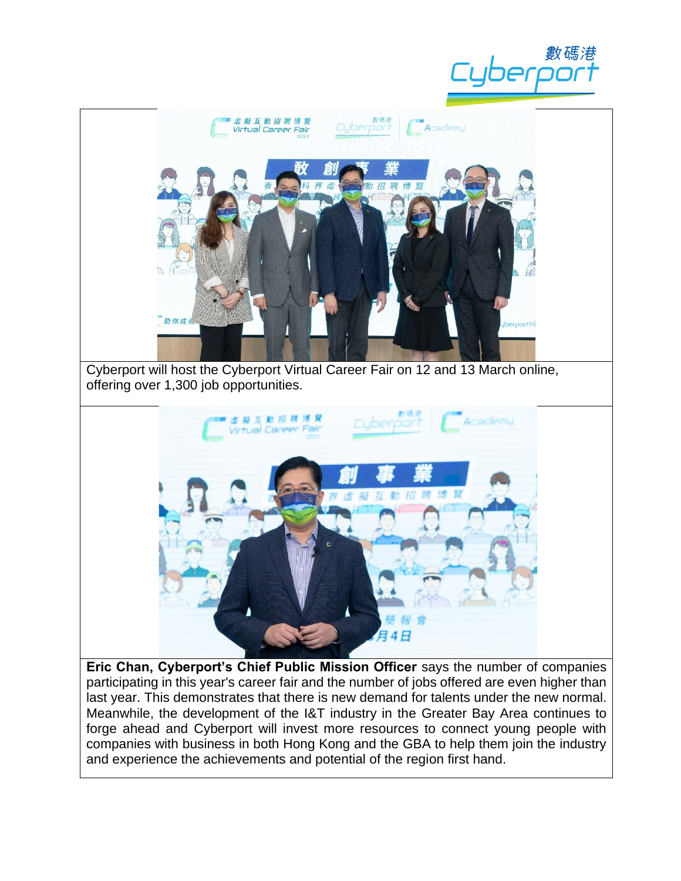





**Eric Chan, Cyberport's Chief Public Mission Officer** says the number of companies participating in this year's career fair and the number of jobs offered are even higher than last year. This demonstrates that there is new demand for talents under the new normal. Meanwhile, the development of the I&T industry in the Greater Bay Area continues to forge ahead and Cyberport will invest more resources to connect young people with companies with business in both Hong Kong and the GBA to help them join the industry and experience the achievements and potential of the region first hand.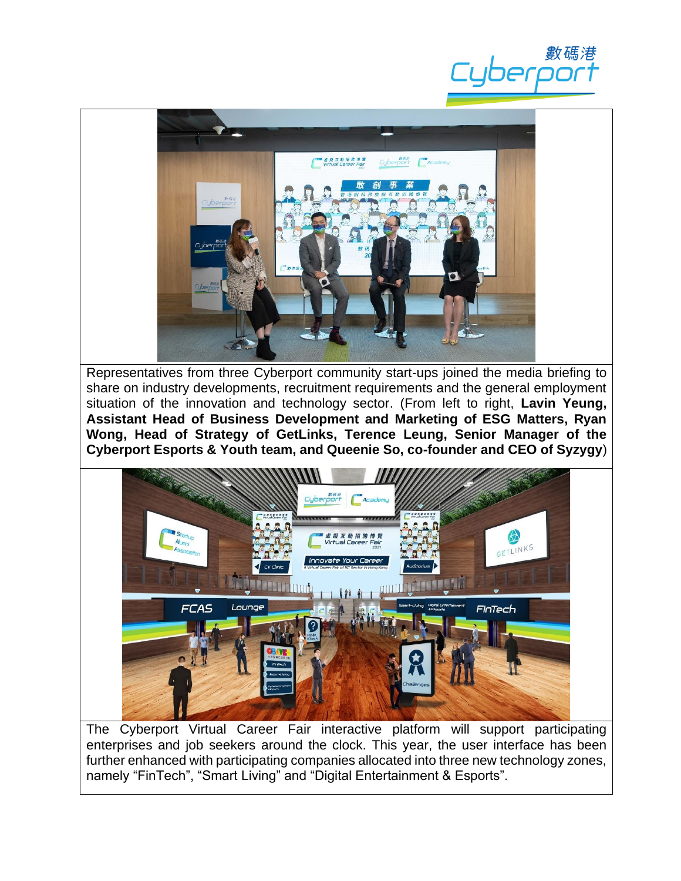



Representatives from three Cyberport community start-ups joined the media briefing to share on industry developments, recruitment requirements and the general employment situation of the innovation and technology sector. (From left to right, **Lavin Yeung, Assistant Head of Business Development and Marketing of ESG Matters, Ryan Wong, Head of Strategy of GetLinks, Terence Leung, Senior Manager of the Cyberport Esports & Youth team, and Queenie So, co-founder and CEO of Syzygy**)



The Cyberport Virtual Career Fair interactive platform will support participating enterprises and job seekers around the clock. This year, the user interface has been further enhanced with participating companies allocated into three new technology zones, namely "FinTech", "Smart Living" and "Digital Entertainment & Esports".